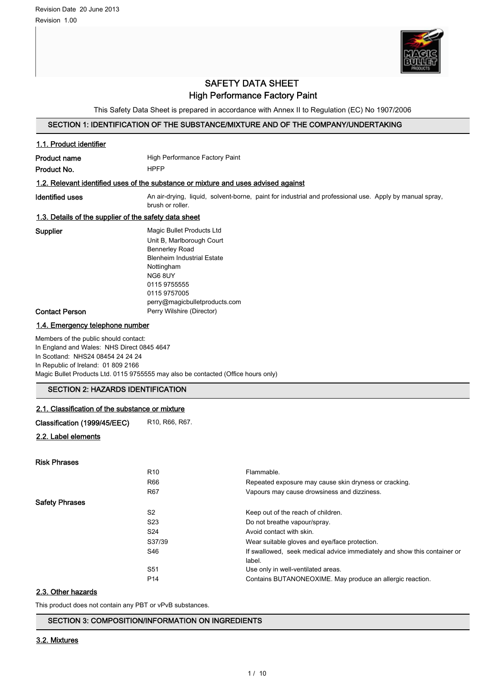

# SAFETY DATA SHEET High Performance Factory Paint

This Safety Data Sheet is prepared in accordance with Annex II to Regulation (EC) No 1907/2006

# SECTION 1: IDENTIFICATION OF THE SUBSTANCE/MIXTURE AND OF THE COMPANY/UNDERTAKING

| 1.1. Product identifier                                                                                                                                                                                                                                                         |                                                                                                                             |                                                       |  |  |
|---------------------------------------------------------------------------------------------------------------------------------------------------------------------------------------------------------------------------------------------------------------------------------|-----------------------------------------------------------------------------------------------------------------------------|-------------------------------------------------------|--|--|
| <b>Product name</b>                                                                                                                                                                                                                                                             | High Performance Factory Paint                                                                                              |                                                       |  |  |
| Product No.                                                                                                                                                                                                                                                                     | <b>HPFP</b>                                                                                                                 |                                                       |  |  |
|                                                                                                                                                                                                                                                                                 | 1.2. Relevant identified uses of the substance or mixture and uses advised against                                          |                                                       |  |  |
| <b>Identified uses</b>                                                                                                                                                                                                                                                          | An air-drying, liquid, solvent-borne, paint for industrial and professional use. Apply by manual spray,<br>brush or roller. |                                                       |  |  |
| 1.3. Details of the supplier of the safety data sheet                                                                                                                                                                                                                           |                                                                                                                             |                                                       |  |  |
| Supplier<br>Magic Bullet Products Ltd<br>Unit B, Marlborough Court<br><b>Bennerley Road</b><br><b>Blenheim Industrial Estate</b><br>Nottingham<br>NG68UY<br>0115 9755555<br>0115 9757005<br>perry@magicbulletproducts.com<br>Perry Wilshire (Director)<br><b>Contact Person</b> |                                                                                                                             |                                                       |  |  |
| 1.4. Emergency telephone number                                                                                                                                                                                                                                                 |                                                                                                                             |                                                       |  |  |
| Members of the public should contact:<br>In England and Wales: NHS Direct 0845 4647<br>In Scotland: NHS24 08454 24 24 24<br>In Republic of Ireland: 01 809 2166                                                                                                                 | Magic Bullet Products Ltd. 0115 9755555 may also be contacted (Office hours only)                                           |                                                       |  |  |
| <b>SECTION 2: HAZARDS IDENTIFICATION</b>                                                                                                                                                                                                                                        |                                                                                                                             |                                                       |  |  |
| 2.1. Classification of the substance or mixture                                                                                                                                                                                                                                 |                                                                                                                             |                                                       |  |  |
| Classification (1999/45/EEC)                                                                                                                                                                                                                                                    | R10, R66, R67.                                                                                                              |                                                       |  |  |
| 2.2. Label elements                                                                                                                                                                                                                                                             |                                                                                                                             |                                                       |  |  |
| <b>Risk Phrases</b>                                                                                                                                                                                                                                                             |                                                                                                                             |                                                       |  |  |
|                                                                                                                                                                                                                                                                                 | R <sub>10</sub>                                                                                                             | Flammable.                                            |  |  |
|                                                                                                                                                                                                                                                                                 | <b>R66</b>                                                                                                                  | Repeated exposure may cause skin dryness or cracking. |  |  |
|                                                                                                                                                                                                                                                                                 | R <sub>67</sub>                                                                                                             | Vapours may cause drowsiness and dizziness.           |  |  |

|                       | NU L            | <u>Vapours may cause drowsiness and dizziness.</u>                                 |
|-----------------------|-----------------|------------------------------------------------------------------------------------|
| <b>Safety Phrases</b> |                 |                                                                                    |
|                       | S2              | Keep out of the reach of children.                                                 |
|                       | S <sub>23</sub> | Do not breathe vapour/spray.                                                       |
|                       | S24             | Avoid contact with skin.                                                           |
|                       | S37/39          | Wear suitable gloves and eye/face protection.                                      |
|                       | S46             | If swallowed, seek medical advice immediately and show this container or<br>label. |
|                       | S <sub>51</sub> | Use only in well-ventilated areas.                                                 |
|                       | P <sub>14</sub> | Contains BUTANONEOXIME. May produce an allergic reaction.                          |
|                       |                 |                                                                                    |

#### 2.3. Other hazards

This product does not contain any PBT or vPvB substances.

SECTION 3: COMPOSITION/INFORMATION ON INGREDIENTS

# 3.2. Mixtures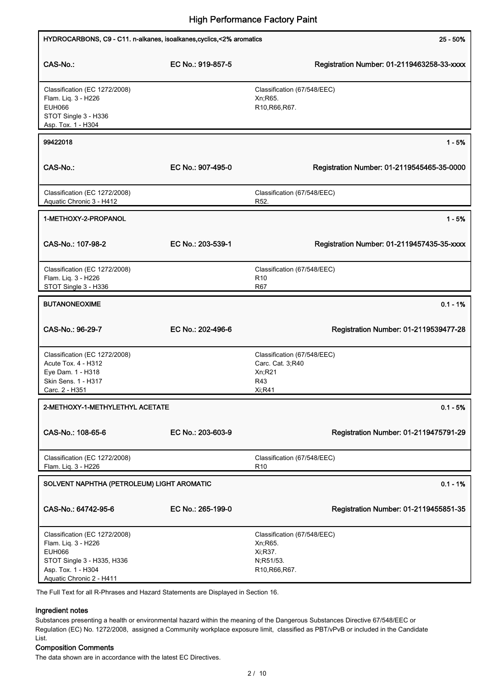| HYDROCARBONS, C9 - C11. n-alkanes, isoalkanes, cyclics, <2% aromatics                                                                                 |                   | 25 - 50%                                                                           |
|-------------------------------------------------------------------------------------------------------------------------------------------------------|-------------------|------------------------------------------------------------------------------------|
| CAS-No.:                                                                                                                                              | EC No.: 919-857-5 | Registration Number: 01-2119463258-33-xxxx                                         |
| Classification (EC 1272/2008)<br>Flam. Liq. 3 - H226<br><b>EUH066</b><br>STOT Single 3 - H336<br>Asp. Tox. 1 - H304                                   |                   | Classification (67/548/EEC)<br>Xn; R65.<br>R10, R66, R67.                          |
| 99422018                                                                                                                                              |                   | $1 - 5%$                                                                           |
| CAS-No.:                                                                                                                                              | EC No.: 907-495-0 | Registration Number: 01-2119545465-35-0000                                         |
| Classification (EC 1272/2008)<br>Aquatic Chronic 3 - H412                                                                                             |                   | Classification (67/548/EEC)<br>R <sub>52</sub> .                                   |
| 1-METHOXY-2-PROPANOL                                                                                                                                  |                   | $1 - 5%$                                                                           |
| CAS-No.: 107-98-2                                                                                                                                     | EC No.: 203-539-1 | Registration Number: 01-2119457435-35-xxxx                                         |
| Classification (EC 1272/2008)<br>Flam. Liq. 3 - H226<br>STOT Single 3 - H336                                                                          |                   | Classification (67/548/EEC)<br>R <sub>10</sub><br>R67                              |
| <b>BUTANONEOXIME</b>                                                                                                                                  |                   | $0.1 - 1%$                                                                         |
| CAS-No.: 96-29-7                                                                                                                                      | EC No.: 202-496-6 | Registration Number: 01-2119539477-28                                              |
| Classification (EC 1272/2008)<br>Acute Tox. 4 - H312<br>Eye Dam. 1 - H318<br>Skin Sens. 1 - H317<br>Carc. 2 - H351                                    |                   | Classification (67/548/EEC)<br>Carc. Cat. 3;R40<br>Xn; R21<br>R43<br>Xi, R41       |
| 2-METHOXY-1-METHYLETHYL ACETATE                                                                                                                       |                   | $0.1 - 5%$                                                                         |
| CAS-No.: 108-65-6                                                                                                                                     | EC No.: 203-603-9 | Registration Number: 01-2119475791-29                                              |
| Classification (EC 1272/2008)<br>Flam. Liq. 3 - H226                                                                                                  |                   | Classification (67/548/EEC)<br>R <sub>10</sub>                                     |
| SOLVENT NAPHTHA (PETROLEUM) LIGHT AROMATIC                                                                                                            |                   | $0.1 - 1%$                                                                         |
| CAS-No.: 64742-95-6                                                                                                                                   | EC No.: 265-199-0 | Registration Number: 01-2119455851-35                                              |
| Classification (EC 1272/2008)<br>Flam. Liq. 3 - H226<br><b>EUH066</b><br>STOT Single 3 - H335, H336<br>Asp. Tox. 1 - H304<br>Aquatic Chronic 2 - H411 |                   | Classification (67/548/EEC)<br>Xn; R65.<br>Xi, R37.<br>N;R51/53.<br>R10, R66, R67. |

The Full Text for all R-Phrases and Hazard Statements are Displayed in Section 16.

## Ingredient notes

Substances presenting a health or environmental hazard within the meaning of the Dangerous Substances Directive 67/548/EEC or Regulation (EC) No. 1272/2008, assigned a Community workplace exposure limit, classified as PBT/vPvB or included in the Candidate List.

## Composition Comments

The data shown are in accordance with the latest EC Directives.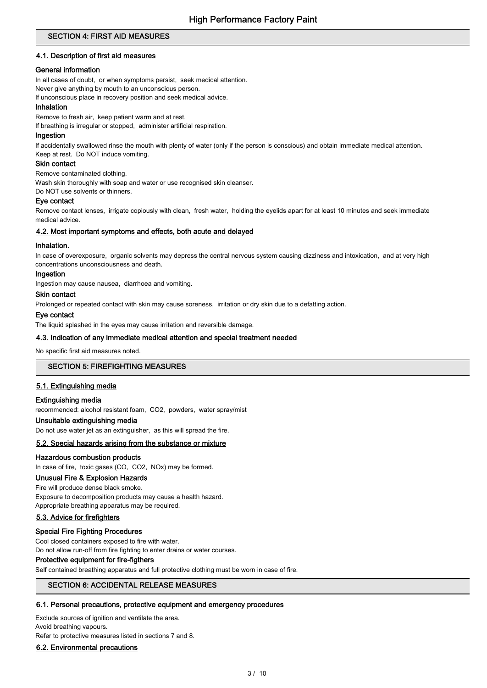### SECTION 4: FIRST AID MEASURES

## 4.1. Description of first aid measures

### General information

In all cases of doubt, or when symptoms persist, seek medical attention.

Never give anything by mouth to an unconscious person.

If unconscious place in recovery position and seek medical advice.

#### Inhalation

Remove to fresh air, keep patient warm and at rest.

If breathing is irregular or stopped, administer artificial respiration.

## Ingestion

If accidentally swallowed rinse the mouth with plenty of water (only if the person is conscious) and obtain immediate medical attention. Keep at rest. Do NOT induce vomiting.

#### Skin contact

Remove contaminated clothing.

Wash skin thoroughly with soap and water or use recognised skin cleanser.

Do NOT use solvents or thinners.

#### Eye contact

Remove contact lenses, irrigate copiously with clean, fresh water, holding the eyelids apart for at least 10 minutes and seek immediate medical advice.

#### 4.2. Most important symptoms and effects, both acute and delayed

#### Inhalation.

In case of overexposure, organic solvents may depress the central nervous system causing dizziness and intoxication, and at very high concentrations unconsciousness and death.

#### Ingestion

Ingestion may cause nausea, diarrhoea and vomiting.

### Skin contact

Prolonged or repeated contact with skin may cause soreness, irritation or dry skin due to a defatting action.

## Eye contact

The liquid splashed in the eyes may cause irritation and reversible damage.

#### 4.3. Indication of any immediate medical attention and special treatment needed

No specific first aid measures noted.

#### SECTION 5: FIREFIGHTING MEASURES

# 5.1. Extinguishing media

#### Extinguishing media

recommended: alcohol resistant foam, CO2, powders, water spray/mist

# Unsuitable extinguishing media

Do not use water jet as an extinguisher, as this will spread the fire.

## 5.2. Special hazards arising from the substance or mixture

#### Hazardous combustion products

In case of fire, toxic gases (CO, CO2, NOx) may be formed.

# Unusual Fire & Explosion Hazards

#### Fire will produce dense black smoke.

Exposure to decomposition products may cause a health hazard. Appropriate breathing apparatus may be required.

#### 5.3. Advice for firefighters

#### Special Fire Fighting Procedures

Cool closed containers exposed to fire with water.

Do not allow run-off from fire fighting to enter drains or water courses.

## Protective equipment for fire-figthers

Self contained breathing apparatus and full protective clothing must be worn in case of fire.

# SECTION 6: ACCIDENTAL RELEASE MEASURES

# 6.1. Personal precautions, protective equipment and emergency procedures

Exclude sources of ignition and ventilate the area. Avoid breathing vapours.

Refer to protective measures listed in sections 7 and 8.

#### 6.2. Environmental precautions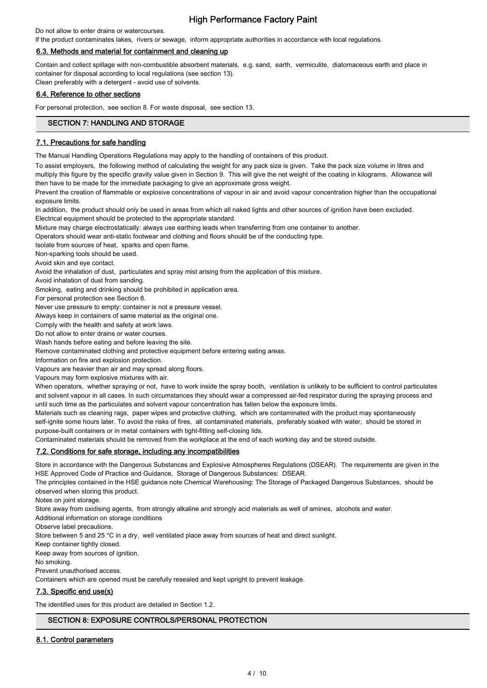Do not allow to enter drains or watercourses.

If the product contaminates lakes, rivers or sewage, inform appropriate authorities in accordance with local regulations.

## 6.3. Methods and material for containment and cleaning up

Contain and collect spillage with non-combustible absorbent materials, e.g. sand, earth, vermiculite, diatomaceous earth and place in container for disposal according to local regulations (see section 13). Clean preferably with a detergent - avoid use of solvents.

## 6.4. Reference to other sections

For personal protection, see section 8. For waste disposal, see section 13.

# SECTION 7: HANDLING AND STORAGE

## 7.1. Precautions for safe handling

The Manual Handling Operations Regulations may apply to the handling of containers of this product.

To assist employers, the following method of calculating the weight for any pack size is given. Take the pack size volume in litres and multiply this figure by the specific gravity value given in Section 9. This will give the net weight of the coating in kilograms. Allowance will then have to be made for the immediate packaging to give an approximate gross weight.

Prevent the creation of flammable or explosive concentrations of vapour in air and avoid vapour concentration higher than the occupational exposure limits.

In addition, the product should only be used in areas from which all naked lights and other sources of ignition have been excluded. Electrical equipment should be protected to the appropriate standard.

Mixture may charge electrostatically: always use earthing leads when transferring from one container to another.

Operators should wear anti-static footwear and clothing and floors should be of the conducting type.

Isolate from sources of heat, sparks and open flame.

Non-sparking tools should be used.

Avoid skin and eye contact.

Avoid the inhalation of dust, particulates and spray mist arising from the application of this mixture.

Avoid inhalation of dust from sanding.

Smoking, eating and drinking should be prohibited in application area.

For personal protection see Section 8.

Never use pressure to empty: container is not a pressure vessel.

Always keep in containers of same material as the original one.

Comply with the health and safety at work laws.

Do not allow to enter drains or water courses.

Wash hands before eating and before leaving the site.

Remove contaminated clothing and protective equipment before entering eating areas.

Information on fire and explosion protection.

Vapours are heavier than air and may spread along floors.

Vapours may form explosive mixtures with air.

When operators, whether spraying or not, have to work inside the spray booth, ventilation is unlikely to be sufficient to control particulates and solvent vapour in all cases. In such circumstances they should wear a compressed air-fed respirator during the spraying process and until such time as the particulates and solvent vapour concentration has fallen below the exposure limits.

Materials such as cleaning rags, paper wipes and protective clothing, which are contaminated with the product may spontaneously self-ignite some hours later. To avoid the risks of fires, all contaminated materials, preferably soaked with water, should be stored in purpose-built containers or in metal containers with tight-fitting self-closing lids.

Contaminated materials should be removed from the workplace at the end of each working day and be stored outside.

# 7.2. Conditions for safe storage, including any incompatibilities

Store in accordance with the Dangerous Substances and Explosive Atmospheres Regulations (DSEAR). The requirements are given in the HSE Approved Code of Practice and Guidance, Storage of Dangerous Substances: DSEAR.

The principles contained in the HSE guidance note Chemical Warehousing: The Storage of Packaged Dangerous Substances, should be observed when storing this product.

Notes on joint storage.

Store away from oxidising agents, from strongly alkaline and strongly acid materials as well of amines, alcohols and water.

Additional information on storage conditions

Observe label precautions.

Store between 5 and 25 °C in a dry, well ventilated place away from sources of heat and direct sunlight.

Keep container tightly closed.

Keep away from sources of ignition.

No smoking.

Prevent unauthorised access.

Containers which are opened must be carefully resealed and kept upright to prevent leakage.

# 7.3. Specific end use(s)

The identified uses for this product are detailed in Section 1.2.

# SECTION 8: EXPOSURE CONTROLS/PERSONAL PROTECTION

# 8.1. Control parameters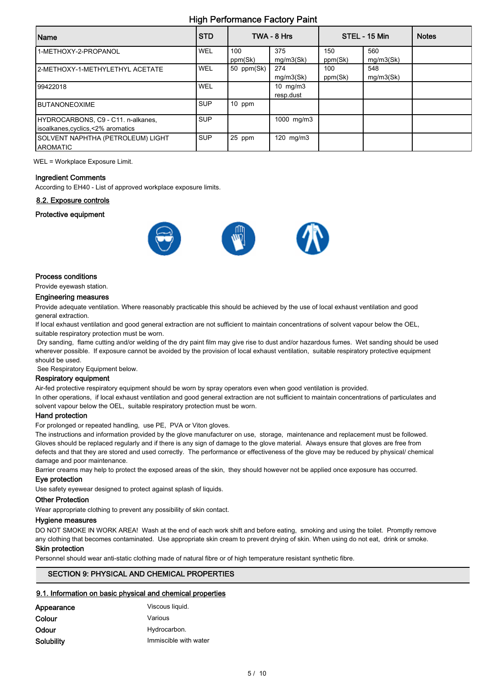| Name                                                                     | <b>STD</b> |                | TWA - 8 Hrs             |                | STEL - 15 Min    | <b>Notes</b> |
|--------------------------------------------------------------------------|------------|----------------|-------------------------|----------------|------------------|--------------|
| 1-METHOXY-2-PROPANOL                                                     | WEL        | 100<br>ppm(Sk) | 375<br>mg/m3(Sk)        | 150<br>ppm(Sk) | 560<br>mg/m3(Sk) |              |
| 12-METHOXY-1-METHYLETHYL ACETATE                                         | <b>WEL</b> | 50 ppm(Sk)     | 274<br>mq/m3(Sk)        | 100<br>ppm(Sk) | 548<br>mq/m3(Sk) |              |
| 99422018                                                                 | <b>WEL</b> |                | 10 $mg/m3$<br>resp.dust |                |                  |              |
| <b>IBUTANONEOXIME</b>                                                    | <b>SUP</b> | $10$ ppm       |                         |                |                  |              |
| HYDROCARBONS, C9 - C11. n-alkanes,<br>isoalkanes, cyclics, <2% aromatics | <b>SUP</b> |                | 1000 mg/m3              |                |                  |              |
| SOLVENT NAPHTHA (PETROLEUM) LIGHT<br><b>AROMATIC</b>                     | <b>SUP</b> | 25 ppm         | $120$ mg/m $3$          |                |                  |              |

WEL = Workplace Exposure Limit.

#### Ingredient Comments

According to EH40 - List of approved workplace exposure limits.

## 8.2. Exposure controls

#### Protective equipment



#### Process conditions

# Provide eyewash station.

## Engineering measures

Provide adequate ventilation. Where reasonably practicable this should be achieved by the use of local exhaust ventilation and good general extraction.

If local exhaust ventilation and good general extraction are not sufficient to maintain concentrations of solvent vapour below the OEL, suitable respiratory protection must be worn.

 Dry sanding, flame cutting and/or welding of the dry paint film may give rise to dust and/or hazardous fumes. Wet sanding should be used wherever possible. If exposure cannot be avoided by the provision of local exhaust ventilation, suitable respiratory protective equipment should be used.

See Respiratory Equipment below.

## Respiratory equipment

Air-fed protective respiratory equipment should be worn by spray operators even when good ventilation is provided.

In other operations, if local exhaust ventilation and good general extraction are not sufficient to maintain concentrations of particulates and solvent vapour below the OEL, suitable respiratory protection must be worn.

#### Hand protection

For prolonged or repeated handling, use PE, PVA or Viton gloves.

The instructions and information provided by the glove manufacturer on use, storage, maintenance and replacement must be followed. Gloves should be replaced regularly and if there is any sign of damage to the glove material. Always ensure that gloves are free from defects and that they are stored and used correctly. The performance or effectiveness of the glove may be reduced by physical/ chemical damage and poor maintenance.

Barrier creams may help to protect the exposed areas of the skin, they should however not be applied once exposure has occurred.

#### Eye protection

Use safety eyewear designed to protect against splash of liquids.

#### Other Protection

Wear appropriate clothing to prevent any possibility of skin contact.

#### Hygiene measures

DO NOT SMOKE IN WORK AREA! Wash at the end of each work shift and before eating, smoking and using the toilet. Promptly remove any clothing that becomes contaminated. Use appropriate skin cream to prevent drying of skin. When using do not eat, drink or smoke.

# Skin protection

Personnel should wear anti-static clothing made of natural fibre or of high temperature resistant synthetic fibre.

#### SECTION 9: PHYSICAL AND CHEMICAL PROPERTIES

#### 9.1. Information on basic physical and chemical properties

| Appearance   | Viscous liquid.       |
|--------------|-----------------------|
| Colour       | Various               |
| <b>Odour</b> | Hydrocarbon.          |
| Solubility   | Immiscible with water |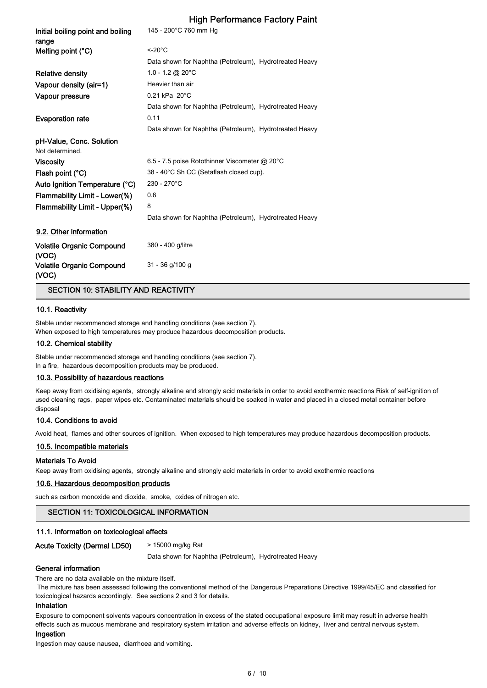| Initial boiling point and boiling         | 145 - 200°C 760 mm Hg                                  |
|-------------------------------------------|--------------------------------------------------------|
| range                                     |                                                        |
| Melting point (°C)                        | $<$ -20 $^{\circ}$ C                                   |
|                                           | Data shown for Naphtha (Petroleum), Hydrotreated Heavy |
| <b>Relative density</b>                   | 1.0 - 1.2 @ 20 $^{\circ}$ C                            |
| Vapour density (air=1)                    | Heavier than air                                       |
| Vapour pressure                           | $0.21$ kPa $20^{\circ}$ C                              |
|                                           | Data shown for Naphtha (Petroleum), Hydrotreated Heavy |
| <b>Evaporation rate</b>                   | 0.11                                                   |
|                                           | Data shown for Naphtha (Petroleum), Hydrotreated Heavy |
| pH-Value, Conc. Solution                  |                                                        |
| Not determined.                           |                                                        |
| <b>Viscosity</b>                          | 6.5 - 7.5 poise Rotothinner Viscometer @ 20°C          |
| Flash point (°C)                          | 38 - 40°C Sh CC (Setaflash closed cup).                |
| Auto Ignition Temperature (°C)            | 230 - 270°C                                            |
| Flammability Limit - Lower(%)             | 0.6                                                    |
| Flammability Limit - Upper(%)             | 8                                                      |
|                                           | Data shown for Naphtha (Petroleum), Hydrotreated Heavy |
| 9.2. Other information                    |                                                        |
| <b>Volatile Organic Compound</b><br>(VOC) | 380 - 400 g/litre                                      |
| <b>Volatile Organic Compound</b><br>(VOC) | $31 - 36$ g/100 g                                      |
|                                           |                                                        |

## SECTION 10: STABILITY AND REACTIVITY

## 10.1. Reactivity

Stable under recommended storage and handling conditions (see section 7). When exposed to high temperatures may produce hazardous decomposition products.

### 10.2. Chemical stability

Stable under recommended storage and handling conditions (see section 7). In a fire, hazardous decomposition products may be produced.

#### 10.3. Possibility of hazardous reactions

Keep away from oxidising agents, strongly alkaline and strongly acid materials in order to avoid exothermic reactions Risk of self-ignition of used cleaning rags, paper wipes etc. Contaminated materials should be soaked in water and placed in a closed metal container before disposal

#### 10.4. Conditions to avoid

Avoid heat, flames and other sources of ignition. When exposed to high temperatures may produce hazardous decomposition products.

#### 10.5. Incompatible materials

#### Materials To Avoid

Keep away from oxidising agents, strongly alkaline and strongly acid materials in order to avoid exothermic reactions

#### 10.6. Hazardous decomposition products

such as carbon monoxide and dioxide, smoke, oxides of nitrogen etc.

### SECTION 11: TOXICOLOGICAL INFORMATION

#### 11.1. Information on toxicological effects

```
Acute Toxicity (Dermal LD50) > 15000 mg/kg Rat
```
Data shown for Naphtha (Petroleum), Hydrotreated Heavy

#### General information

There are no data available on the mixture itself.

 The mixture has been assessed following the conventional method of the Dangerous Preparations Directive 1999/45/EC and classified for toxicological hazards accordingly. See sections 2 and 3 for details.

## Inhalation

Exposure to component solvents vapours concentration in excess of the stated occupational exposure limit may result in adverse health effects such as mucous membrane and respiratory system irritation and adverse effects on kidney, liver and central nervous system.

#### Ingestion

Ingestion may cause nausea, diarrhoea and vomiting.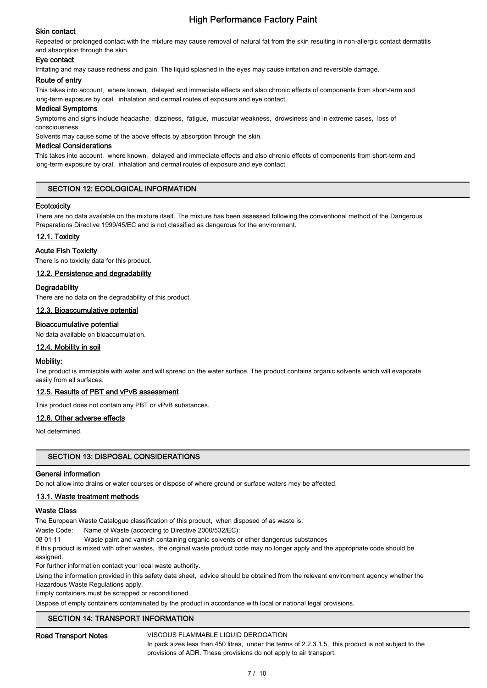# Skin contact

Repeated or prolonged contact with the mixture may cause removal of natural fat from the skin resulting in non-allergic contact dermatitis and absorption through the skin.

## Eye contact

Irritating and may cause redness and pain. The liquid splashed in the eyes may cause irritation and reversible damage.

#### Route of entry

This takes into account, where known, delayed and immediate effects and also chronic effects of components from short-term and long-term exposure by oral, inhalation and dermal routes of exposure and eye contact.

#### Medical Symptoms

Symptoms and signs include headache, dizziness, fatigue, muscular weakness, drowsiness and in extreme cases, loss of consciousness.

Solvents may cause some of the above effects by absorption through the skin.

#### Medical Considerations

This takes into account, where known, delayed and immediate effects and also chronic effects of components from short-term and long-term exposure by oral, inhalation and dermal routes of exposure and eye contact.

# SECTION 12: ECOLOGICAL INFORMATION

#### **Ecotoxicity**

There are no data available on the mixture itself. The mixture has been assessed following the conventional method of the Dangerous Preparations Directive 1999/45/EC and is not classified as dangerous for the environment.

#### 12.1. Toxicity

#### Acute Fish Toxicity

There is no toxicity data for this product.

#### 12.2. Persistence and degradability

## **Degradability**

There are no data on the degradability of this product.

#### 12.3. Bioaccumulative potential

#### Bioaccumulative potential

No data available on bioaccumulation.

## 12.4. Mobility in soil

#### Mobility:

The product is immiscible with water and will spread on the water surface. The product contains organic solvents which will evaporate easily from all surfaces.

#### 12.5. Results of PBT and vPvB assessment

This product does not contain any PBT or vPvB substances.

#### 12.6. Other adverse effects

Not determined.

#### SECTION 13: DISPOSAL CONSIDERATIONS

#### General information

Do not allow into drains or water courses or dispose of where ground or surface waters mey be affected.

#### 13.1. Waste treatment methods

#### Waste Class

The European Waste Catalogue classification of this product, when disposed of as waste is:

Waste Code: Name of Waste (according to Directive 2000/532/EC):

08 01 11 Waste paint and varnish containing organic solvents or other dangerous substances

If this product is mixed with other wastes, the original waste product code may no longer apply and the appropriate code should be assigned.

For further information contact your local waste authority.

Using the information provided in this safety data sheet, advice should be obtained from the relevant environment agency whether the Hazardous Waste Regulations apply.

Empty containers must be scrapped or reconditioned.

Dispose of empty containers contaminated by the product in accordance with local or national legal provisions.

# SECTION 14: TRANSPORT INFORMATION

#### Road Transport Notes **VISCOUS FLAMMABLE LIQUID DEROGATION**

In pack sizes less than 450 litres, under the terms of 2.2.3.1.5, this product is not subject to the provisions of ADR. These provisions do not apply to air transport.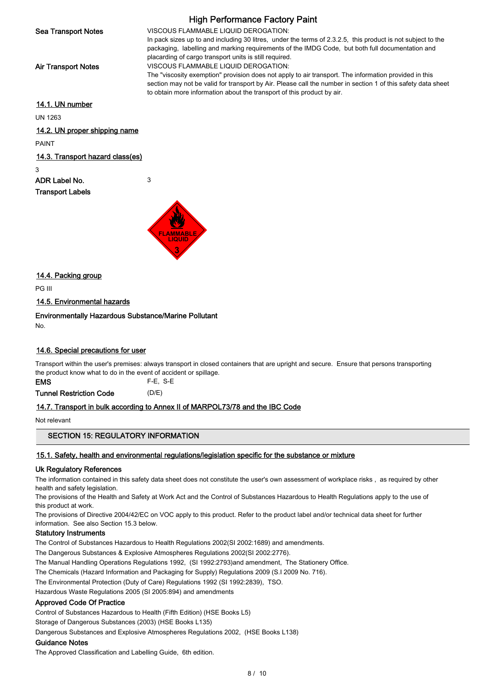|                               | <b>High Performance Factory Paint</b>                                                                                                                                                                                                                                                           |
|-------------------------------|-------------------------------------------------------------------------------------------------------------------------------------------------------------------------------------------------------------------------------------------------------------------------------------------------|
| <b>Sea Transport Notes</b>    | VISCOUS FLAMMABLE LIQUID DEROGATION:                                                                                                                                                                                                                                                            |
|                               | In pack sizes up to and including 30 litres, under the terms of 2.3.2.5, this product is not subject to the<br>packaging, labelling and marking requirements of the IMDG Code, but both full documentation and<br>placarding of cargo transport units is still required.                        |
| Air Transport Notes           | VISCOUS FLAMMABLE LIQUID DEROGATION:                                                                                                                                                                                                                                                            |
|                               | The "viscosity exemption" provision does not apply to air transport. The information provided in this<br>section may not be valid for transport by Air. Please call the number in section 1 of this safety data sheet<br>to obtain more information about the transport of this product by air. |
| 14.1. UN number               |                                                                                                                                                                                                                                                                                                 |
| <b>UN 1263</b>                |                                                                                                                                                                                                                                                                                                 |
| 14.2. UN proper shipping name |                                                                                                                                                                                                                                                                                                 |

PAINT

# 14.3. Transport hazard class(es)

3

ADR Label No. 3 Transport Labels



14.4. Packing group

PG III

14.5. Environmental hazards

# Environmentally Hazardous Substance/Marine Pollutant

No.

# 14.6. Special precautions for user

Transport within the user's premises: always transport in closed containers that are upright and secure. Ensure that persons transporting the product know what to do in the event of accident or spillage.

EMS F-E, S-E

Tunnel Restriction Code (D/E)

# 14.7. Transport in bulk according to Annex II of MARPOL73/78 and the IBC Code

Not relevant

# SECTION 15: REGULATORY INFORMATION

# 15.1. Safety, health and environmental regulations/legislation specific for the substance or mixture

# Uk Regulatory References

The information contained in this safety data sheet does not constitute the user's own assessment of workplace risks , as required by other health and safety legislation.

The provisions of the Health and Safety at Work Act and the Control of Substances Hazardous to Health Regulations apply to the use of this product at work.

The provisions of Directive 2004/42/EC on VOC apply to this product. Refer to the product label and/or technical data sheet for further information. See also Section 15.3 below.

# Statutory Instruments

The Control of Substances Hazardous to Health Regulations 2002(SI 2002:1689) and amendments.

The Dangerous Substances & Explosive Atmospheres Regulations 2002(SI 2002:2776).

The Manual Handling Operations Regulations 1992, (SI 1992:2793)and amendment, The Stationery Office.

The Chemicals (Hazard Information and Packaging for Supply) Regulations 2009 (S.I 2009 No. 716).

The Environmental Protection (Duty of Care) Regulations 1992 (SI 1992:2839), TSO.

Hazardous Waste Regulations 2005 (SI 2005:894) and amendments

# Approved Code Of Practice

Control of Substances Hazardous to Health (Fifth Edition) (HSE Books L5)

Storage of Dangerous Substances (2003) (HSE Books L135)

Dangerous Substances and Explosive Atmospheres Regulations 2002, (HSE Books L138)

# Guidance Notes

The Approved Classification and Labelling Guide, 6th edition.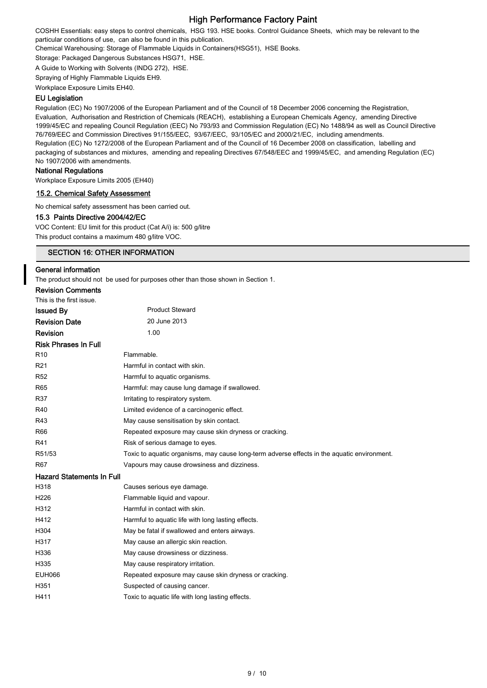COSHH Essentials: easy steps to control chemicals, HSG 193. HSE books. Control Guidance Sheets, which may be relevant to the particular conditions of use, can also be found in this publication.

Chemical Warehousing: Storage of Flammable Liquids in Containers(HSG51), HSE Books.

Storage: Packaged Dangerous Substances HSG71, HSE.

A Guide to Working with Solvents (INDG 272), HSE.

Spraying of Highly Flammable Liquids EH9.

Workplace Exposure Limits EH40.

#### EU Legislation

Regulation (EC) No 1907/2006 of the European Parliament and of the Council of 18 December 2006 concerning the Registration, Evaluation, Authorisation and Restriction of Chemicals (REACH), establishing a European Chemicals Agency, amending Directive 1999/45/EC and repealing Council Regulation (EEC) No 793/93 and Commission Regulation (EC) No 1488/94 as well as Council Directive 76/769/EEC and Commission Directives 91/155/EEC, 93/67/EEC, 93/105/EC and 2000/21/EC, including amendments. Regulation (EC) No 1272/2008 of the European Parliament and of the Council of 16 December 2008 on classification, labelling and packaging of substances and mixtures, amending and repealing Directives 67/548/EEC and 1999/45/EC, and amending Regulation (EC) No 1907/2006 with amendments.

# National Regulations

Workplace Exposure Limits 2005 (EH40)

# 15.2. Chemical Safety Assessment

No chemical safety assessment has been carried out.

#### 15.3 Paints Directive 2004/42/EC

VOC Content: EU limit for this product (Cat A/i) is: 500 g/litre This product contains a maximum 480 g/litre VOC.

#### SECTION 16: OTHER INFORMATION

#### General information

The product should not be used for purposes other than those shown in Section 1.

| <b>Revision Comments</b>         |                                                                                             |
|----------------------------------|---------------------------------------------------------------------------------------------|
| This is the first issue.         |                                                                                             |
| <b>Issued By</b>                 | <b>Product Steward</b>                                                                      |
| <b>Revision Date</b>             | 20 June 2013                                                                                |
| Revision                         | 1.00                                                                                        |
| <b>Risk Phrases In Full</b>      |                                                                                             |
| R <sub>10</sub>                  | Flammable.                                                                                  |
| R <sub>21</sub>                  | Harmful in contact with skin.                                                               |
| <b>R52</b>                       | Harmful to aquatic organisms.                                                               |
| R65                              | Harmful: may cause lung damage if swallowed.                                                |
| R37                              | Irritating to respiratory system.                                                           |
| R40                              | Limited evidence of a carcinogenic effect.                                                  |
| R43                              | May cause sensitisation by skin contact.                                                    |
| R66                              | Repeated exposure may cause skin dryness or cracking.                                       |
| R41                              | Risk of serious damage to eyes.                                                             |
| R51/53                           | Toxic to aquatic organisms, may cause long-term adverse effects in the aquatic environment. |
| <b>R67</b>                       | Vapours may cause drowsiness and dizziness.                                                 |
| <b>Hazard Statements In Full</b> |                                                                                             |
| H318                             | Causes serious eye damage.                                                                  |
| H <sub>226</sub>                 | Flammable liquid and vapour.                                                                |
| H312                             | Harmful in contact with skin.                                                               |
| H412                             | Harmful to aquatic life with long lasting effects.                                          |
| H304                             | May be fatal if swallowed and enters airways.                                               |
| H317                             | May cause an allergic skin reaction.                                                        |
| H336                             | May cause drowsiness or dizziness.                                                          |
| H335                             | May cause respiratory irritation.                                                           |
| <b>EUH066</b>                    | Repeated exposure may cause skin dryness or cracking.                                       |
| H351                             | Suspected of causing cancer.                                                                |
| H411                             | Toxic to aquatic life with long lasting effects.                                            |
|                                  |                                                                                             |